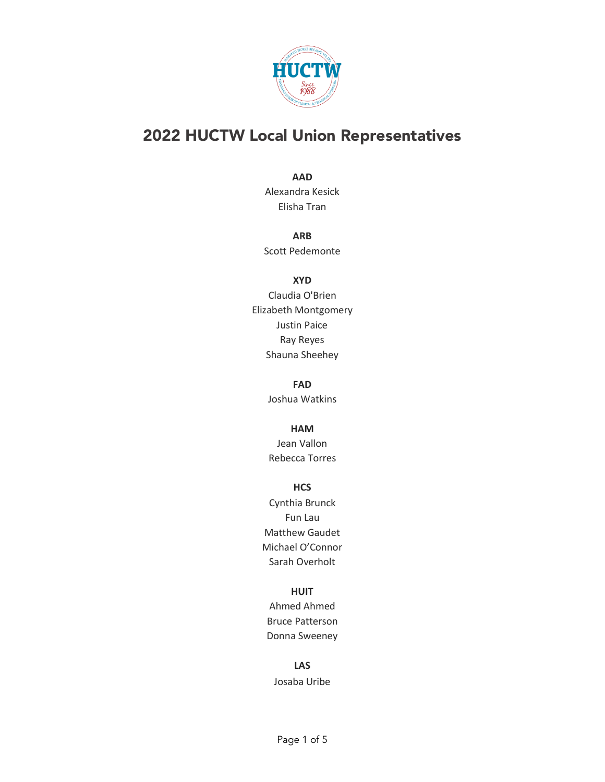

# 2022 HUCTW Local Union Representatives

#### **AAD**

Alexandra Kesick Elisha Tran

## **ARB**

Scott Pedemonte

#### **XYD**

Claudia O'Brien Elizabeth Montgomery Justin Paice Ray Reyes Shauna Sheehey

#### **FAD**

Joshua Watkins

#### **HAM**

Jean Vallon Rebecca Torres

#### **HCS**

Cynthia Brunck Fun Lau Matthew Gaudet Michael O'Connor Sarah Overholt

#### **HUIT**

Ahmed Ahmed Bruce Patterson Donna Sweeney

## **LAS**

Josaba Uribe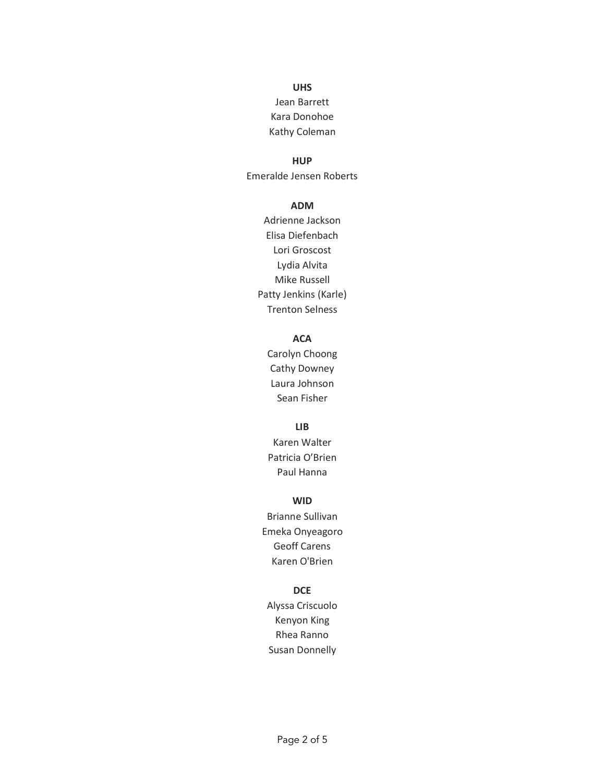# **UHS**

# Jean Barrett Kara Donohoe Kathy Coleman

#### **HUP**

Emeralde Jensen Roberts

#### **ADM**

Adrienne Jackson Elisa Diefenbach Lori Groscost Lydia Alvita Mike Russell Patty Jenkins (Karle) Trenton Selness

# **ACA**

Carolyn Choong Cathy Downey Laura Johnson Sean Fisher

#### **LIB**

Karen Walter Patricia O'Brien Paul Hanna

# **WID**

Brianne Sullivan Emeka Onyeagoro Geoff Carens Karen O'Brien

#### **DCE**

Alyssa Criscuolo Kenyon King Rhea Ranno Susan Donnelly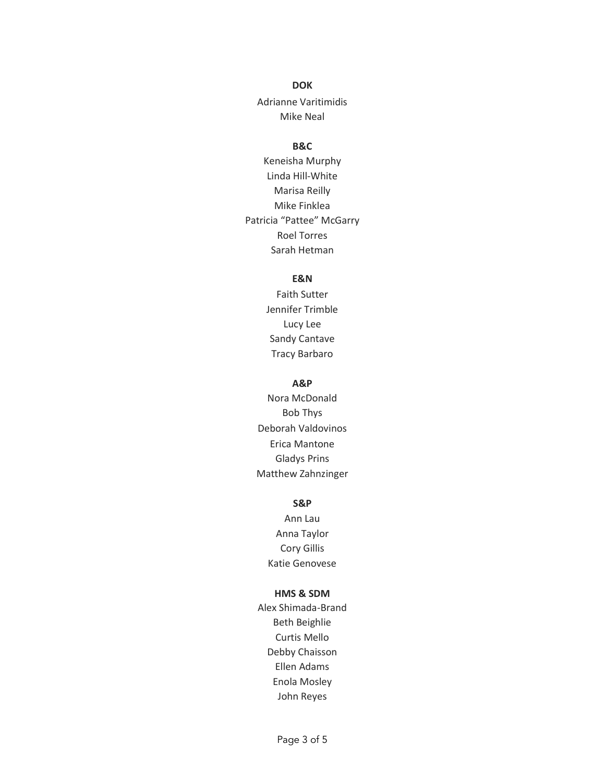#### **DOK**

Adrianne Varitimidis Mike Neal

# **B&C**

Keneisha Murphy Linda Hill-White Marisa Reilly Mike Finklea Patricia "Pattee" McGarry Roel Torres Sarah Hetman

## **E&N**

Faith Sutter Jennifer Trimble Lucy Lee Sandy Cantave Tracy Barbaro

#### **A&P**

Nora McDonald Bob Thys Deborah Valdovinos Erica Mantone Gladys Prins Matthew Zahnzinger

#### **S&P**

Ann Lau Anna Taylor Cory Gillis Katie Genovese

## **HMS & SDM**

Alex Shimada-Brand Beth Beighlie Curtis Mello Debby Chaisson Ellen Adams Enola Mosley John Reyes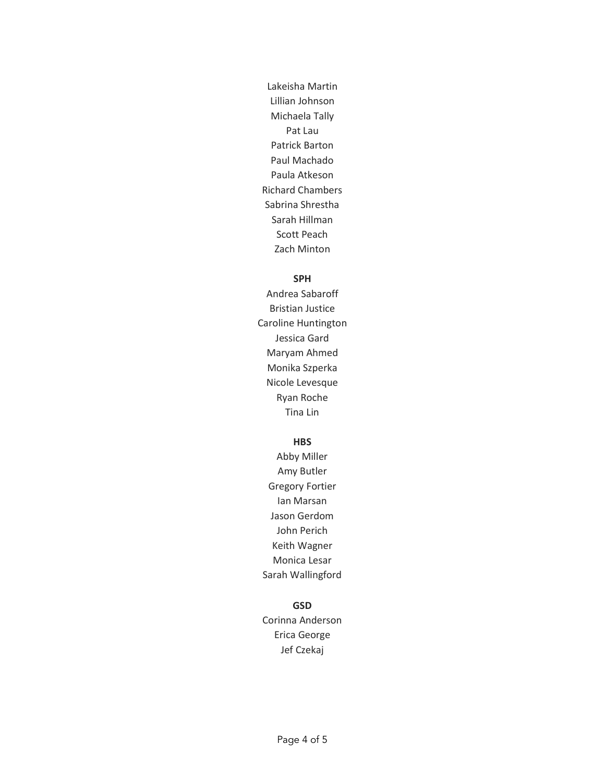Lakeisha Martin Lillian Johnson Michaela Tally Pat Lau Patrick Barton Paul Machado Paula Atkeson Richard Chambers Sabrina Shrestha Sarah Hillman Scott Peach Zach Minton

## **SPH**

Andrea Sabaroff Bristian Justice Caroline Huntington Jessica Gard Maryam Ahmed Monika Szperka Nicole Levesque Ryan Roche Tina Lin

## **HBS**

Abby Miller Amy Butler Gregory Fortier Ian Marsan Jason Gerdom John Perich Keith Wagner Monica Lesar Sarah Wallingford

## **GSD**

Corinna Anderson Erica George Jef Czekaj